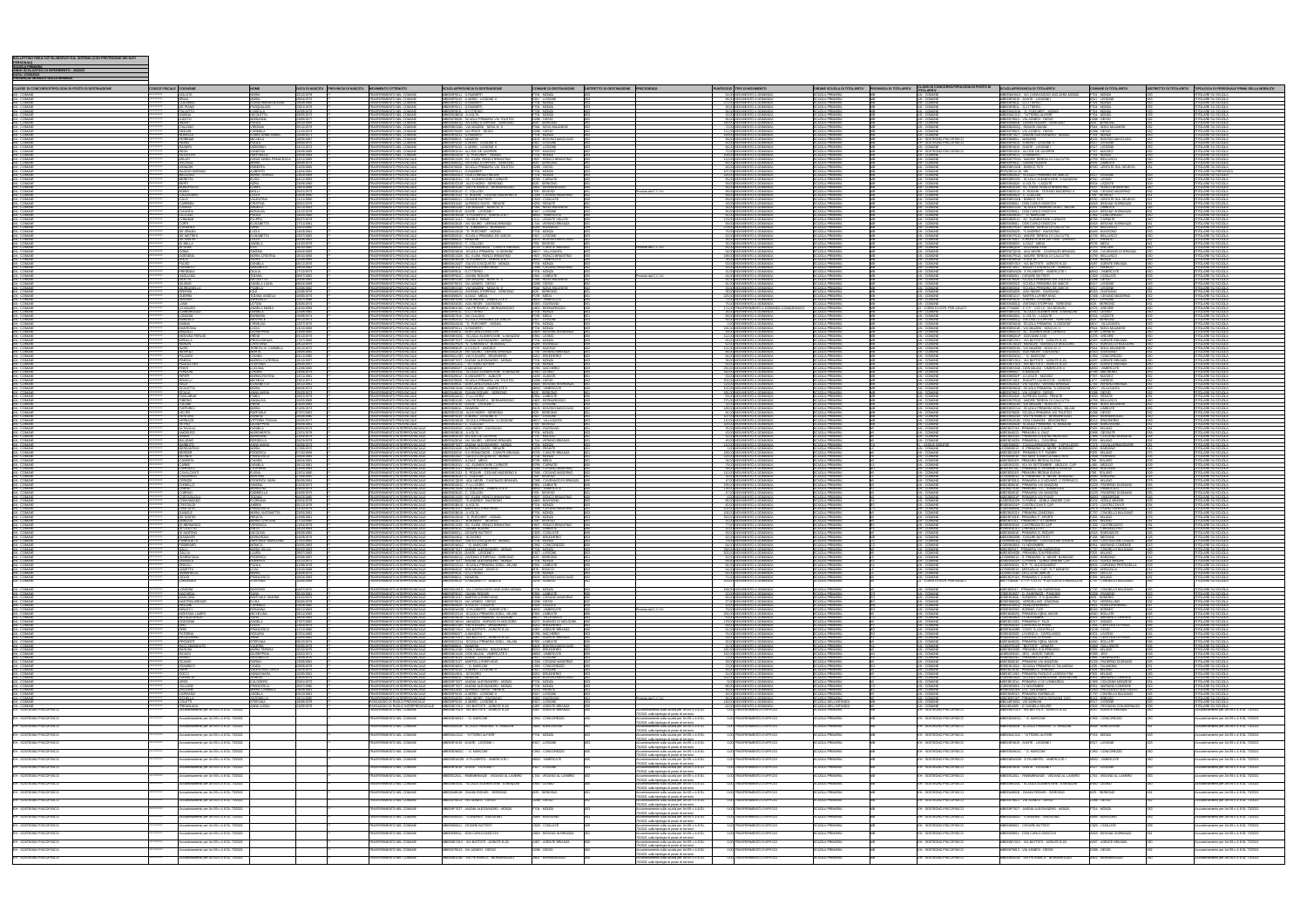**BOLLETTINO RISULTATI ELABORATI DAL SISTEMA (CON PROTEZIONE DEI DATI PERSONALI)**

| SCUOLA PRIMARIA<br>ANNO SCOLASTICO DI RIFERIMENTO : 2022/23<br>DATA: 17/05/2022<br>PROVINCIA: MONZA E DELLA BRIANZA |                       |                                                                                         |                                           |                                                         |                                                                                                                                      |                                                                                                                                                                              |                                                                                    |                                                                                                                                                                                                  |                                                                                                                                        |                                                                                               |                                                               |                                                                                                                                                                            |                                                                                                               |                                                                                                        |
|---------------------------------------------------------------------------------------------------------------------|-----------------------|-----------------------------------------------------------------------------------------|-------------------------------------------|---------------------------------------------------------|--------------------------------------------------------------------------------------------------------------------------------------|------------------------------------------------------------------------------------------------------------------------------------------------------------------------------|------------------------------------------------------------------------------------|--------------------------------------------------------------------------------------------------------------------------------------------------------------------------------------------------|----------------------------------------------------------------------------------------------------------------------------------------|-----------------------------------------------------------------------------------------------|---------------------------------------------------------------|----------------------------------------------------------------------------------------------------------------------------------------------------------------------------|---------------------------------------------------------------------------------------------------------------|--------------------------------------------------------------------------------------------------------|
| CLASSE DI CONCORSO/TIPOLOGIA DI POSTO DI DESTINAZIONE                                                               | ODICE FISCALE COGNOME |                                                                                         |                                           | DATA DI NASCITA PROVINCIA DI NASCITA MOVIMENTO OTTENUTO |                                                                                                                                      | <b>SCUOLA/PROVINCIA DI DESTINAZIONE</b>                                                                                                                                      | OMUNE DI DESTINAZIONE                                                              | <b>STRETTO DI DESTINAZIONE</b><br>ECEDENZ/                                                                                                                                                       | <b>PUNTEGGIO TIPO DI MOVIMENTO</b>                                                                                                     | PROVINCIA DI TITOLARITA'<br>ORDINE SCUOLA DI TITOLARITA'                                      | CLASSI DI CONCORSO/TIPOLOGIA DI POSTO DI<br><b>TOI ARITA'</b> | <b>CUOLA/PROVINCIA DI TITOLARITA'</b>                                                                                                                                      | COMUNE DI TITOLARITA'                                                                                         | TIPOLOGIA DI PERSONALE PRIMA DELLA MOBILITA'<br><b>DISTRETTO DI TITOLARITA'</b>                        |
| AN - COM INF<br>N - COMUNE                                                                                          |                       | GLIATA<br><b>ELENA MAR</b>                                                              |                                           | 09/04/1975<br>19/08/1966                                | RASFERIMENTO NEL COMUN<br><u>TRASFERIMENTO NEL COMUNI</u>                                                                            | <b>JBFF8F6011 - G RAIBFR</b><br>MBEE8F5015 - A.MORO - LISSONE II                                                                                                             | 704 - MONZA<br>617 - LISSONE<br>F704 - MONZA                                       |                                                                                                                                                                                                  | 54,00 MOVIMENTO A DOMANDA<br>96,00 MOVIMENTO A DOMANDA                                                                                 | <b>CLIOLA PRIMA</b><br><b>SCUOLA PRIMARI</b>                                                  | AN - COMUNE<br>AN - COMUNE                                    | BEE8AH01G - VIA CARAVAGGIO ANG.ZARA-MON<br>MBEE8F4019 - DANTE - LISSONE<br>MBEE8F801L G.CITTERIO -                                                                         | 704 - MONZA<br><u> 167 - LISSONE</u><br>F704 - MONZA                                                          | OLARE SU SCUOL<br><b>TOLARE SU SCUOLA</b>                                                              |
| AN - COMUNE<br>AN - COMUNE                                                                                          |                       | FALL FTT.<br>GANGAL<br>NICOLETT                                                         |                                           | 10/09/1979<br>29/05/1972                                | TRASFERIMENTO NEL COMUNE<br>TRASFERIMENTO NEL COMUNE<br>RASFERIMENTO NEL COMUNE<br><b>TRASFERIMENTO NEL COMUNI</b>                   | MBEE8F6011 - G.RAIBER<br>MBEE8F6011 - G.RAIBER<br>MBEE8F801L - G.CITTERIO<br><u> MBEE8GB018 - A.VOLTA</u>                                                                    | 704 - MONZA<br>F704 - MONZA<br>F704 - MONZA                                        |                                                                                                                                                                                                  | 271,001 MOVIMENTO A DOMAND.<br>30.001 MOVIMENTO A DOMAND.<br>84,00 MOVIMENTO A DOMANDA<br>42,00 MOVIMENTO A DOMANDA                    | <b>IN A PRIM</b><br><b>SCUOLA PRIMAF</b><br><b>SCUOLA PRIMAI</b>                              | AN - COMUNE<br>AN - COMUNE                                    | IBEE8F801L - C<br>IBEE8AD018 - "G. PUECHER" - MONZA<br>MBEE8AC01C - "VITTORIO ALFIERI"                                                                                     | 04 - MONZ<br>704 - MONZA<br>F704 - MONZA                                                                      | <b>TITOLARE SU SCUOLA</b><br>TITOLARE SU SCUOLA<br>TOLARE SU SCUOLA<br><b>TOLARE SU SCUOLA</b>         |
|                                                                                                                     |                       | <b>ILICETO</b><br><b>MARIANN</b><br><b>TALIANO</b>                                      |                                           | 23/06/1977<br>25/10/1966<br>25/12/1979                  | TRASFERIMENTO NEL COMUNI<br>TRASFERIMENTO NEL COMUNI<br><b>ASFERIMENTO NEL COMUNE</b>                                                | <u> MBEE878028 - SCUOLA PRIMARIA VIA TOLS</u><br><u>4601Q - ANTONIO STOPPANI - SERE</u><br>MBEE8E001B - VIA MAZZINI - NOVA M. II                                             | D <sub>286</sub> - DESIO<br>F944 - NOVA MILAN                                      |                                                                                                                                                                                                  | 85,00 MOVIMENTO A DOMANDA<br>190,00 MOVIMENTO A DOMANDA<br>72,00 MOVIMENTO A DOMANDA                                                   | <b>SCUOLA PRIMAI</b><br><b>CUOLA PRIMARI</b>                                                  | AN - COMUNE                                                   | MBEE879013 - VIA AGNESI - DESIC<br>EE84801B - GIANNI RODARI - SERE<br>MBEE8EZ02Q - RODARI GIANNI                                                                           | D <sub>286</sub> - DESIO<br>F944 - NOVA MILANE                                                                | TITOLARE SU SCUOLA<br>TITOLARE SU SCUOLA<br><b>TOLARE SU SCUOLA</b>                                    |
| AN - COMUNE<br>AN - COMUNE                                                                                          |                       | Meduri<br>MICHELA<br><b>PERRONE</b>                                                     | :ARMFIA<br>ARIA ANNA MA                   | 1/10/1973<br>10/08/1971<br>18/06/1987                   | TRASFERIMENTO NEL COMUNE<br>TRASFERIMENTO NEL COMUNE<br>TRASFERIMENTO NEL COMUNE                                                     | <u> MBEE87502R - VIA PRATI - DESIG</u><br><u> MBEE8F6011 - G.RAIBERT</u><br><u> MBEE86801L - MANZONI</u>                                                                     | 286 - DESIC<br>704 - MONZA<br>B105 - BOVISIO-MASCIAGO                              |                                                                                                                                                                                                  | 111,00 MOVIMENTO A DOMANDA<br>169,00 MOVIMENTO A DOMANDA<br>99,00 MOVIMENTO A DOMANDA                                                  | <b>SCUOLA PRIMARIA</b><br><u>ICUOLA PRIMARI</u><br><b>SCUOLA PRIMARI</b>                      | AN - COMUN<br>AN - COMUNE<br><b>EH - SOSTEGNO PSICOFISICO</b> | MBEE879013 - VIA AGNESI - DESIC<br>MBEE8F702T - ANZANI ALESSANDRO - MON<br>MBEE86801L - MANZONI                                                                            | D <sub>286</sub> - DESIC<br>F704 - MONZA<br>B105 - BOVISIO-MASCIA                                             | <u>TOLARE SU SCUOLA</u><br><u>TOLARE SU SCUOLA</u><br><u>TITOLARE SU SCUOLA</u>                        |
|                                                                                                                     |                       | <b>PAULA</b><br>VANESSA<br>REDA                                                         |                                           | 26/06/1975<br>15/09/1989                                | TRASFERIMENTO NEL COMUNE<br>TRASFERIMENTO NEL COMUNE                                                                                 | MBEE8F5015 - A.MORO - LISSONE II<br>MBEE8F5015 - A.MORO - LISSONE II<br><b>MBEE89101N - ALCIDE DE GASPER</b>                                                                 | <u> E617 - LISSONE<br/>E617 - LISSONE</u><br>797 - MUGGIO                          |                                                                                                                                                                                                  | 82,00 MOVIMENTO A DOMANDA<br>84,00 MOVIMENTO A DOMANDA<br>72,00 MOVIMENTO A DOMANDA                                                    | SCUOLA PRIMARI<br>SCUOLA PRIMARI<br>SCUOLA PRIMAF                                             | <b>EH - SOSTEGNO PSICOFISIC</b><br>EH - SOSTEGNO PSICOFISICO  | MBEE8F5015 - A.MORO - LISSONE II<br>MBEE8F4019 - DANTE - LISSONE I<br>MBEE89101N - ALCIDE DE GASPERI                                                                       | E617 - LISSONE<br>F797 - MUGGIO'                                                                              | <b>TITOLARE SU SCUOL</b><br><u>LARE SU SCU</u><br><b>TOLARE SU SCUOLA</b>                              |
| AN - COMUNE                                                                                                         |                       | <u>SILVESTI</u><br><b>RAFFAELL</b>                                                      | <u>DANIA MARIJ</u>                        | 25/04/1964<br>22/11/1985<br>26/06/1974                  | TRASFERIMENTO NEL COMUNE<br>TRASFERIMENTO NEL COMUNE<br>TRASFERIMENTO PROVINCIALE                                                    | BEE8AD018 - "G. PUECHER" - MONZA<br><u> MBEE8DJ028 - SC. ELEM. RONCO BRIANTII</u>                                                                                            | <u>704 - MONZA </u><br><b>H537 - RONCO BRI</b><br>1625 - SEREGI<br>D286 - DESIO    |                                                                                                                                                                                                  | 108,00 MOVIMENTO A DOMANDA<br>112,00 MOVIMENTO A DOMANDA<br>66,00 MOVIMENTO A DOMANDA<br>46,00 MOVIMENTO A DOMANDA                     | <b>SCUOLA PRIMARI</b><br><u>SCUOLA PRIMAF</u>                                                 | AN - COMUNE<br>AN - COMUNE<br>AN - COMUL<br>AN - COMUN        | MBEE8F6011 - G.RAIBER<br>MBEE8CP01D - MADRE TERESA DI CALCUT                                                                                                               | F704 - MONZA<br>A759 - BELLUSC                                                                                | <u>ITOLARE SU SCUOLA</u><br><u>ITOLARE SU SCUOLA</u>                                                   |
| AN - COMUNE                                                                                                         |                       | BAGGIO MORAI<br>ALBERI                                                                  | <b>MARIA TERE</b>                         | 21/03/1986<br>14/04/1981<br>23/03/1968                  | RASFERIMENTO PROVINCIALE<br>RASFERIMENTO PROVINCIALE<br>TRASFERIMENTO PROVINCIALE<br>TRASFERIMENTO PROVINCIALE                       | BEE84601Q - ANTONIO STOPPANI - SEREG.<br>BEE878028 - SCUOLA PRIMARIA VIA TOLST<br><u> MBEE8F6011 - G.RAIBER</u>                                                              | 704 - MONZA<br><u>704 - MONZA </u>                                                 |                                                                                                                                                                                                  | 107,00 MOVIMENTO A DOMANDA                                                                                                             | SCUOLA PR<br><b>SCUOLA PRIMARI</b>                                                            | AN - COMUNE<br>AN - COMUN                                     | MBEE8F901C - GIANNI RODAR<br>MBEE8EV01B - ENRICO TOTI<br>PROVINCIA DI MB                                                                                                   | E591 - LIMBIATE<br>E530 - LENTATE SUL SEVES<br>E617 - LISSUNE                                                 | <u>OLARE SU SCUOLA</u><br>OLARE SU SCUOLA<br><u>ITOLARE SU PROVINCIA</u><br><b>TITOLARE SU SCUOLA</b>  |
|                                                                                                                     |                       | <b>BONOFIGLIO</b>                                                                       |                                           | 4/09/1990<br><u>14/01/1988 </u>                         | RASFERIMENTO PROVINCIALE<br>RASFERIMENTO PROVINCIALE<br>TRASFERIMENTO PROVINCIALE                                                    | <u> MBEE8AE014 - DON LORENZO MILANI<br/>MBEE8BZ01V - SC. ELEMENTARE CARN</u><br><b>IBEE8DC018 - ALDO MORO - SEREGN</b><br><u> MBEE8B101B - VIA PETRARCA - BERNAREG</u>       | 325 - SERFGN<br>4802 - BERNAREO                                                    |                                                                                                                                                                                                  | 226,00 MOVIMENTO A DOMANDA<br>55,00 MOVIMENTO A DOMANDA<br>58,00 MOVIMENTO A DOMANDA<br>66,00 MOVIMENTO A DOMANDA                      | CUOLA PRIMAF<br><b>SCUOLA PRIMAI</b>                                                          | <u>AN - COMUN</u><br>AN - COMUN<br><b>AN - COMUNE</b>         | MBEE89201D - SCUOLA PRIMARIA DE AMICIS<br>MBEE8BS03C - SCUOLA ELEMENTARE "A.MA<br>MBEE86402A - A.VOLTA - LAZZATE<br>MBEE8DJ028 - SC. ELEM. RONCO BRIANT                    | 0 - LESMO<br>504 - LAZZATE<br>H537 - RONCO BRIANT                                                             | <b>OLARE SU SCUOLA</b><br><u>ITOLARE SU SCUOLA</u>                                                     |
|                                                                                                                     |                       |                                                                                         |                                           | 25/01/1973<br>02/04/1990<br>/11/1990                    | TRASFERIMENTO PROVINCIALE<br>SFERIMENTO PROVINCIALE                                                                                  | MBEE86301D - C. COLLODI<br>MBEE8E2013 - G. RODARI - CESANO MADERNO<br>MBEE866011 - CESARE BATTISTI                                                                           | <u>709 - SEVESO</u><br><u>C566 - CESANO MA</u><br><b>2820 - COGLIATE</b>           | <u>evista dal C.C.N.</u>                                                                                                                                                                         | 99,00 MOVIMENTO A DOMANDA<br>68,00 MOVIMENTO A DOMANDA<br>69,00 MOVIMENTO A DOMANDA                                                    | <b>SCUOLA PRIM</b><br>CUOLA PRIMA                                                             | AN - COMUNE                                                   | MBEE8E2013 - G. RODARI - CESANO MADE<br>MBEE8EV01B - ENRICO TO                                                                                                             | C566 - CESANO MADERN<br>530 - LENTATE SUL SEVESO                                                              | <b>TITOLARE SU SCUOLA</b><br>ARE SU SCUOL<br><b>OLARE SU SCUOL</b>                                     |
| AN - COMUNE                                                                                                         |                       | CARRER<br>CASALE<br>ROSALBA                                                             |                                           | 6/01/1979<br>10/11/1963<br>12/12/1979                   | <b>TRASFERIMENTO PROVINCIALE</b><br>TRASFERIMENTO PROVINCIALE<br>TRASFERIMENTO PROVINCIALE                                           | MBEE831045 - ALFREDO SASSI - RENATE<br><u> MBEE8E001B - VIA MAZZINI - NOVA M. II</u><br><u> BEE8F4019 - DANTE - LISSONE</u>                                                  | H <sub>233</sub> - RENATE<br>'944 - NOVA MILANESE<br>7 - LISSONE                   |                                                                                                                                                                                                  | 49,00 MOVIMENTO A DOMAND.<br>36,00 MOVIMENTO A DOMANDA<br>95,00 MOVIMENTO A DOMANDA                                                    | <b>SCUOLA PRIMAI</b><br><b>SCUOLA PRIMARIA</b>                                                | AN - COMUN<br>AN - COMUNE                                     | MBEE83901L - DON CARLO GNOCCHI<br>MBEE8GC014 - SCUOLA PRIMARIA DON L. MIL<br>MBEE83901L - DON CARLO GNOCCHI                                                                | A818 - BESANA IN BRIANZA<br>E591 LIMBIATE<br>A818 - BESANA IN BRIANZA                                         | <b>TOLARE SU SCUOLA</b><br>TITOLARE SU SCUOLA<br>TITOLARE SU SCUOLA                                    |
|                                                                                                                     |                       | <b>CONDEMI</b>                                                                          | <b>ELISABETT</b>                          | 4/05/1980<br>0/07/1978<br>/11/1981                      | <u>ASFERIMENTO PROVINCIALE</u><br><b>TRASFERIMENTO PROVINCIALE</b><br>TRASFERIMENTO PROVINCIALE                                      | BEE8EW028 - E.FILIBERTO - VIMERCAT<br><u> MBEE8CL012 - "SUOR E. RENZI"</u><br>BEE843018 - VIA SAURO - VERANO BRIANZ                                                          | 052 - VIMERCAT<br><u>1 - USMATE VELATE</u><br>L744 - VERANO BRIANZA                |                                                                                                                                                                                                  | 81,00 MOVIMENTO A DOMANDA<br>123,00 MOVIMENTO A DOMANDA<br>58,00 MOVIMENTO A DOMANDA                                                   | CUOLA PRIMARI<br>SCUOLA PRIMARI<br><b>CUOLA PRIMARIA</b>                                      | AN - COMUN<br>AN - COMUNE                                     | BEE8DM01C - " G. MARCONI"<br><u> MBEE8BZ01V - SC. ELEMENTARE CARNAT</u><br>MBEE83901L - DON CARLO GNOCCHI                                                                  | 2952 - CONCOREZZO<br>B798 - CARNATE<br>A818 - BESANA IN BRIANZ                                                | <b>OLARE SU SCUOLA</b><br><u>OLARE SU SCUOLA</u><br><b>OLARE SU SCUOLA</b>                             |
| <u>AN - COMUNE</u>                                                                                                  |                       | D'ANDREA<br><b>ANNA</b><br>DE MATTE                                                     |                                           | 10/01/1960<br><u>4/03/1981 -</u><br>:3/07/1982 -        | TRASFERIMENTO PROVINCIALE<br>TRASFERIMENTO PROVINCIALE<br>TRASFERIMENTO PROVINCIALE                                                  | MBEE8DP025 - N. TOMMASEO - BUSNAGO<br>MBEE8AD018 - "G. PUECHER" - MONZA<br>MBEE89201D - SCUOLA PRIMARIA DE AMICIS                                                            | <u> B289 - BUSNAGO I</u><br>17 - LISSONF                                           |                                                                                                                                                                                                  | 278,00 MOVIMENTO A DOMANDA<br>75,00 MOVIMENTO A DOMANDA<br>52,00 MOVIMENTO A DOMANDA<br>36,00 MOVIMENTO A DOMANDA                      | <b>SCUOLA PRIMARI</b><br>CUOLA PRIMAI                                                         | AN - COMUNE                                                   | MBEE8CP01D - MADRE TERESA DI CALCUT<br>MBEE82602G - "S.ANDREA"- BIASSONO<br>MBEE8CP01D - MADRE TERESA DI CALC                                                              | A759 - BELLUSCO                                                                                               | <b>ITOLARE SU SCUOLA</b><br><b>OLARE SU SCUOL</b><br><b>JLARE SU SCUOL</b>                             |
| AN - COMUNE<br>IN - COMUNE<br>N - COMINE                                                                            |                       | <b>LUCIA</b><br>DE SANTIS<br>DI BELLA<br>ANGELA<br><b>DI LENA</b>                       |                                           | 06/08/1962<br>14/10/1979<br>28/10/1980                  | TRASFERIMENTO PROVINCIALE<br>TRASFERIMENTO PROVINCIALE<br><b>IRASFERIMENTO PROVINCIALE</b>                                           | MBEE86801L - MANZONI<br><u> MBEE86301D - C. COLLODI</u><br>/IBEE830016 - G.D.ROMAGNOSI - CARATE BRIANZA<br>/IREE8DN018 - SCLIOLA PRIMARIA "A OGGIONI"                        | 105 - BOVISIO-MASCIAGO<br><u>709 - SEVESC</u><br>B729 - CARATE BRIANZA             | <u>Prevista dal C.C.N.I.</u>                                                                                                                                                                     | 36,00 MOVIMENTO A DOMANDA<br>85,00 MOVIMENTO A DOMANDA                                                                                 | <b>CUOLA PRIMARI</b><br>SCUOLA PRIMARI<br><b>SCUOLA PRIMARI</b>                               | <b>AN - COMUNE</b><br>AN - COMUNE<br>AN - COMUNE              | MBEE87001L - A.MORO E M.RI VIA FANI - VARE<br>MBEE85902V - A.DIAZ - MEDA                                                                                                   | L677 - VAREDO<br><u> F078 - MEDA</u><br>A376 - ARCORE                                                         | <b>OLARE SU SCUOLA</b><br><b>TOLARE SU SCUOLA</b><br>TITOLARE SU SCUOLA                                |
| AN - COMUNE<br>AN - COMUNE                                                                                          |                       | DOSSENA<br><b>DUCA</b>                                                                  | <b>MARIA CRIST</b>                        | 18/10/1966<br>22/09/1983                                | <b>TRASFERIMENTO PROVINCIALE</b><br>TRASFERIMENTO PROVINCIALE                                                                        | MBEE8DJ028 - SC. ELEM. RONCO BRIANTINO<br>MBEE8EW028 - E.FILIBERTO - VIMERCATE I                                                                                             | <b>H537 - RONCO BRIANTINO</b><br>M052 - VIMERCATE                                  |                                                                                                                                                                                                  | 198,00 MOVIMENTO A DOMANDA<br>35,00 MOVIMENTO A DOMANDA                                                                                | <b>SCUOLA PRIMAF</b><br><b>SCUOLA PRIMAF</b>                                                  | AN - COMUNE<br><b>AN - COMUNE</b>                             | MBEE8BQ01P - GIOVANNI XXIII<br>MBEE8CQ019 - ADA NEGRI - CAN<br>MBEE8CP01D - MADRE TERESA DI CALCUTTA<br>MBEE8GB018 - A.VOLTA                                               | A759 - BELLUSCO<br>F704 - MONZA                                                                               | TOLARE SU SCUOLA<br><u>ITOLARE SU SCUOLA</u>                                                           |
| IN - COMUNE                                                                                                         |                       | <b>FALBO</b><br>DANIELA<br>GRAZIELLA                                                    |                                           | 06/11/1976<br>29/03/1982<br>17/12/1973                  | TRASFERIMENTO PROVINCIALE<br>TRASFERIMENTO PROVINCIALE<br>RASFERIMENTO PROVINCIALE                                                   | MBEE8AA02T - SALVO D'ACQUISTO - MONZA<br><b>SEE8E1017 - MARTIN LUTHER KING</b><br>/IBEE8F801L - G.CITTERIO                                                                   | F704 - MONZA<br>566 - CESANO MADE<br>704 - MONZA                                   |                                                                                                                                                                                                  | 63,00 MOVIMENTO A DOMANDA<br>55,00 MOVIMENTO A DOMANDA<br>41.00 MOVIMENTO A DOMANDA                                                    | <b>SCUOLA PRIMARI</b><br>CUOLA PRIMARI                                                        | AN - COMUNE<br>AN - COMUN                                     | MBEE8EY01V - VIA BATTISTI - AGRATE B.ZA<br>MBEE87101C - BAGATTI VALSECCHI - VAI<br>MBEE8EW028 - E.FILIBERTO - VIMERCATE                                                    | A087 - AGRATE BRIANZ<br>1052 - VIMERCA                                                                        | <b>TITOLARE SU SCUOLA</b><br>LARE SU SCUOL<br><b>OLARE SU SCUOL</b>                                    |
| AN - COMUNE                                                                                                         |                       | <b>GAGLIANC</b><br><b>ILZIANA</b><br>NICOLETT/<br>GIOITIA<br><u>GIUGNO</u>              | ANGELA LIAN                               | 28/07/1982<br>20/08/1982<br>08/04/1968                  | TRASFERIMENTO PROVINCIALE<br>TRASFERIMENTO PROVINCIALE<br>TRASFERIMENTO PROVINCIALE                                                  | MBEE8F901C - GIANNI RODARI<br>MBEE8E001B - VIA MAZZINI - NOVA M. II<br><u> MBEE879013 - VIA AGNESI - DESIC</u>                                                               | E591 - LIMBIATE<br><u>944 - NOVA MILANESE</u>                                      | evista dal C.C.N.I                                                                                                                                                                               | 64,00 MOVIMENTO A DOMANDA<br>91,00 MOVIMENTO A DOMANDA<br>81,00 MOVIMENTO A DOMANDA                                                    | <b>SCUOLA PRIMARIA</b><br>SCUOLA PRIMARI                                                      | AN - COMUNE<br>AN - COMUNE<br>AN - COMUNE                     | MBEE866011 - CESARE BATTISTI<br>MBEE878028 - SCUOLA PRIMARIA VIA TOLSTOJ<br><b>BEE89201D - SCUOLA PRIMARIA DE AMICI</b>                                                    | C820 - COGLIATE<br>D <sub>286</sub> - DESIO<br>317 - LISSONE<br>317 - LISSONE                                 | <u>ITOLARE SU SCUOLA</u><br><u>ITOLARE SU SCUOLA</u><br>DLARE SU SCUOL                                 |
|                                                                                                                     |                       | <b>IURDANE</b><br><b>GRIFONI</b>                                                        | <b>ILZIANA ANGI</b>                       | 2/08/1982<br>10/08/1976<br>18/06/1975                   | SFERIMENTO PROVINCIALE<br>ASFERIMENTO PROVINCIALE<br>TRASFERIMENTO PROVINCIALE<br>TRASFERIMENTO PROVINCIALE                          | MBEE8E001B - VIA MAZZINI - NOVA M. I<br>MBEE84601Q - ANTONIO STOPPANI - SEREGI<br>MBEE85902V - A.DIAZ - MEDA<br>MBEE8EVALA - ROMANI ANII - MAEROATE III                      | 944 - NOVA MILANE<br>625 - SEREGN<br>078 - MEDA                                    |                                                                                                                                                                                                  | 33,00 MOVIMENTO A DOMANDA<br>36,00 MOVIMENTO A DOMAND.                                                                                 | CLIOI A PRIMA<br><b>CUOLA PRIMA</b><br><b>SCUOLA PRIM</b>                                     | AN - COMUN<br>AN - COMUNE                                     | EE89201D - SCUOLA PRIMARIA DE AMICI<br>BEE83403G - ADA NEGRI - GIUSSAN<br><u> MBEE8E1017 - MARTIN LUTHER KING</u>                                                          | E063 - GIUSSAN<br>C566 - CESANO MADE                                                                          | <b>OLARE SU SCUOL</b><br><b>OLARE SU SCUOL</b><br><u>TOLARE SU SCUOLI</u>                              |
|                                                                                                                     |                       | <b>IASENZA</b><br><u>LO MAUR(</u>                                                       | <b>ERONICA</b><br>ANGELA MA               | 12/07/1988<br>3/06/1974<br>24/10/1958                   | <u> SFERIMENTO PROVINCIALE</u><br><u>FERIMENTO PROVINCIALE</u>                                                                       | MBEE8EX046 - DON MILANI - VIMERCATE II<br><u> EE83403G - ADA NEGRI - GIUSSAN</u><br><u> MBEE8B101B - VIA PETRARCA - BERNAR</u>                                               | M052 - VIMERCATE<br>802 - BERNAI                                                   |                                                                                                                                                                                                  | 226.00 MOVIMENTO A DOMANDA<br>72.00 MOVIMENTO A DOMANDA<br>76.00 MOVIMENTO A DOMANDA<br><u>174,00 TRASFERIMENTO A DOMANDA CONDIZIO</u> | <b>SCUOLA PRIMAI</b>                                                                          | AN - COMUNE<br>- CORSI DI ISTR. PER ADUI                      | MBEE8F5015 - A.MORO - LISSONE II<br>MBEE84601Q - ANTONIO STOPPANI - SEREG<br>MBCT70400C - C.T.P. C/O I.C. VIA EDISON                                                       | E617 - LISSONE<br>625 - SEREGNO<br>376 - ARCORI                                                               | <u>OLARE SU SCUOLA</u><br><b>OLARE SU SCUOL</b><br><u>JLARE SU SCUOLA</u>                              |
|                                                                                                                     |                       | LOMBARDO<br><b>DARDAI</b>                                                               |                                           | 22/08/1982<br>19/08/1974<br>5/11/1973                   | TRASFERIMENTO PROVINCIALE<br>TRASFERIMENTO PROVINCIALE                                                                               | MBEE8F801L - G.CITTERIC<br><u> BEE857016 - VIA CIALDINI</u><br>E89201D - SCUOLA PRIMARIA DE AMI<br>E8AD018 - "G. PUECHER" - MONZA                                            | 704 - MONZA<br>078 - MEDA<br><u> 617 - LISSONE</u><br>704 - MONZA                  |                                                                                                                                                                                                  | 36,00 MOVIMENTO A DOMANDA<br>89,00 MOVIMENTO A DOMANDA                                                                                 | <b>CUOLA PRIMARI</b><br>SCUOLA PRIMA                                                          | AN - COMUNE                                                   | BEE8BS03C - SCUOLA ELEMENTARE "A.MANZONI<br>MBEE86402A - A.VOLTA - LAZZATI<br>BEE84601Q - ANTONIO STOPPANI - SEREG<br>BEE8DN018 - SCUOLA PRIMARIA "A.OGGIC                 | E550 - LESMO<br><u> 504 - LAZZATE</u><br><u> 525 - SEREGNO</u>                                                | <b>OLARE SU SCUOLA</b><br>TITOLARE SU SCUOLA<br><u>OLARE SU SCUOLA</u>                                 |
| AN - COMUNE                                                                                                         |                       | ANTEGNA                                                                                 | <b>GIUSEPPIN</b>                          | 13/12/1969<br><u>11/09/1965 </u>                        | RASFERIMENTO PROVINCIAL<br>RASFERIMENTO PROVINCIAL<br><b>RASFERIMENTO PROVINCIALE</b><br><b>TRASFERIMENTO PROVINCIALE</b>            | /BEE8F6011 - G.RAIBERTI<br><b>IBEE83901L - DON CARLO GNOCCHI</b>                                                                                                             | 704 - MONZA<br>A818 - BESANA IN BR                                                 |                                                                                                                                                                                                  | 66,00 MOVIMENTO A DOMANDA<br>0,00 MOVIMENTO A DOMANDA<br>191,00 MOVIMENTO A DOMANDA<br>54,00 MOVIMENTO A DOMANDA                       | <b>CUOLA PRIMARI</b><br><b>SCUOLA PRIMARI</b>                                                 | <b>AN - COMUNE</b><br><b>AN - COMUNE</b>                      | <u> MBEE8E001B - VIA MAZZINI - NOVA M. II</u><br>MBEE8BZ01V - SC. ELEMENTARE CARNATI                                                                                       | -944 - NOVA MILANES<br>B798 - CARNAT                                                                          | LARE SU SCUOL/<br><b>OLARE SU SCUOLA</b><br><b>TOLARE SU SCUOLA</b>                                    |
| N - COMUNE<br>N - COMUNE<br>AN - COM INF                                                                            |                       | <b>MESSINA FERLISI</b><br><b>IRENE</b><br><b>IARDIN</b>                                 |                                           | 05/12/1979<br>8/12/1975                                 | TRASFERIMENTO PROVINCIALE<br><b>TRASFERIMENTO PROVINCIALE</b>                                                                        | MBEE8BS03C - SCUOLA ELEMENTARE "A.MANZONI"<br>MREE8F702T - ANZANI ALESSANDRO - MONZA<br>MBEE8DP025 - N. TOMMASEO - BUSNAGO                                                   | E550 - LESMO<br>F704 - MONZA<br>289 - BUSNA                                        |                                                                                                                                                                                                  | 112,00 MOVIMENTO A DOMANDA<br>62,00 MOVIMENTO A DOMANDA                                                                                | SCUOLA PRIMARI<br><b>SCUOLA PRIMAI</b>                                                        | AN - COMUNE<br><b>AN - COMUNE</b>                             | MBEE8BQ01P - GIOVANNI XXIII<br>MPERSEVANV - VIA RATTISTI - AGRATE B.Z<br>MBEE8CN01N - MANZONI - BURAGO DI MOLGORA                                                          | A376 - ARCORE<br>272 - BURAGO DI MOI GI                                                                       | TITOLARE SU SCUOLA<br><b>TOLARE SU SCUOLA</b>                                                          |
| AN - COMUNE<br>AN - COMUNE                                                                                          |                       | <b>NESPOLI</b>                                                                          | <b>TERESA M. CARMEL/</b>                  | <u>15/12/1972</u><br>14/05/1982                         | TRASFERIMENTO PROVINCIALE<br>TRASFERIMENTO PROVINCIALE                                                                               | MBEE88301P - A.CASATI - MUGGIO'<br>MBEE843018 - VIA SAURO - VERANO BRIANZA                                                                                                   | F797 - MUGGIO<br>L744 - VERANO BRIA                                                |                                                                                                                                                                                                  | 121,00 MOVIMENTO A DOMANDA<br>86,00 MOVIMENTO A DOMANDA<br>84,00 MOVIMENTO A DOMANDA<br>36,00 MOVIMENTO A DOMANDA                      | <b>SCUOLA PRIMAF</b><br>SCUOLA PRIMARI                                                        | <b>AN - COMUNE</b><br>AN - COMUNE                             | MBEE8E001B - VIA MAZZINI - NOVA M. II<br>MBEE83403G - ADA NEGRI - GIUSSANO                                                                                                 | F944 - NOVA MILANESE<br>E063 - GIUSSANO<br>C952 - CONCOREZZO                                                  | <b>ITOLARE SU SCUOLA</b><br><u>TITOLARE SU SCUOLA</u>                                                  |
| <u>AN - COMUN</u>                                                                                                   |                       | PIZZOCCH<br>LUCIANA                                                                     | STEFANIA                                  | 03/11/1980<br>19/12/1957<br>25/05/1957<br>11/08/1965    | TRASFERIMENTO PROVINCIALE<br>TRASFERIMENTO PROVINCIALE<br>TRASFERIMENTO PROVINCIALE<br>TRASFERIMENTO PROVINCIALE                     | MBEE8AL01R - VIA N.SAURO - BRUGHERIO<br>MBEE8F702T - ANZANI ALESSANDRO - MOI<br><u> MBEE8AC01C - "VITTORIO ALFIERI"</u><br><u> MBEE89602T - A.MANZONI</u>                    | B212 - BRUGHERIO<br>F704 - MONZA<br><u> E786 - MACHERI</u>                         |                                                                                                                                                                                                  | 60,00 MOVIMENTO A DOMANDA<br>230,00 MOVIMENTO A DOMANDA                                                                                | SCUOLA PI<br>SCUOLA PI<br><b>SCUOLA PRIMARI</b><br><b>SCUOLA PRIMAF</b>                       | AN - COMUNE<br>AN - COMUNE<br>AN - COMUNE<br>AN - COMUNE      | MBEE8DM01C - " G. MARCONI"<br>MBEE8EY01V - VIA BATTISTI - AGRATE B.Z/<br>MBEE8EY01V - VIA BATTISTI - AGRATE B.ZA<br>MBEE8EX046 - DON MILANI - VIMERCATE II                 | <u> 1087 - AGRATE BRIAN</u><br><u>1052 - VIMERCATI</u>                                                        | TITOLARE SU SCUOL<br><b>TOLARE SU SCUOLA</b><br><u>TOLARE SU SCUOLA</u>                                |
| AN - COMUNE                                                                                                         |                       | PONZONI                                                                                 |                                           | 14/04/1979<br>13/11/1981                                | TRASFERIMENTO PROVINCIALE<br>TRASFERIMENTO PROVINCIALE<br><u> \SFERIMENTO PROVINCIAL</u>                                             | MBEE8BS03C - SCUOLA ELEMENTARE "A.MANZONI"<br>BEE829012 - G.UNGARETTI - ALBIATE<br><u> E878028 - SCUOLA PRIMARIA VIA T</u>                                                   | E550 - LESMO<br><u> 159 - ALBIATI</u>                                              |                                                                                                                                                                                                  | 160,00 MOVIMENTO A DOMANDA<br>53,00 MOVIMENTO A DOMANDA<br>202,00 MOVIMENTO A DOMAN                                                    | <u>SCUOLA PRIMAF</u><br>Cuola Prim<br>CUOLA F                                                 | AN - COMUNE                                                   | MBEE89602T - A.MANZONI<br>MBEE88301P - A.CASATI - MUGGIO'<br>MBEE87101C - BAGATTI VALSECCHI - VAR                                                                          | E786 - MACHERIO<br>797 - MUGGIO'                                                                              | <u>TOLARE SU SCUOLA</u><br><b>OLARE SU SCUOL</b><br><u>OLARE SU SCUOL</u>                              |
| N - COMUN<br>N - COMUNE                                                                                             |                       | <b>ELISABETT</b><br>SCALETTA<br>SCALI/                                                  | <b>ANNA MARI</b>                          | 16/12/1981<br>08/08/1973<br>25/03/1973                  | TRASFERIMENTO PROVINCIALE<br>TRASFERIMENTO PROVINCIALE<br>TRASFERIMENTO PROVINCIALE                                                  | 3EE83901L - DON CARLO GNOCCHI<br><u> MBEE8EX046 - DON MILANI - VIMERCATE II</u><br><u> MBEE84801B - GIANNI RODARI - SEREGN</u>                                               | <b>4818 - BESANA IN BRIANZA</b><br><u> M052 - VIMERCATE</u><br><u>25 - SEREGNO</u> |                                                                                                                                                                                                  | 115,00 MOVIMENTO A DOMANDA<br>102,00 MOVIMENTO A DOMANDA<br>181,00 MOVIMENTO A DOMANDA                                                 | <u>;CUOLA PRIMA</u><br><b>SCUOLA PRIMA</b><br>CUOLA PRIMAF                                    | AN - COMUNE<br>AN - COMUNE                                    | <u> MBEE843018 - VIA SAURO - VERANO BRIANZ</u><br>MBEE8DN018 - SCUOLA PRIMARIA "A.OGGIO<br>IBEE879013 - VIA AGNESI - DESIO                                                 | <u> 744 - VERANO BRIAN</u><br>M017 - VILLASAN<br><u> 286 - DESIC</u>                                          | <u>TOLARE SU SCUOLA</u><br><u>TOLARE SU SCUOLA</u><br><u>OLARE SU SCUOLA</u>                           |
| AN - COMUNE                                                                                                         |                       | <b>TULONE</b><br><b>IRENE</b>                                                           |                                           | 10/02/1966<br>01/05/1983                                | <u>TO PROVINCIAL</u><br>ASFERIMENTO PROVINCIALE<br>TRASFERIMENTO PROVINCIALE                                                         | BEE8B101B - VIA PETRARCA - BERNAF<br>MBEE8F4019 - DANTE - LISSONE I                                                                                                          | 31 - LIMBIA<br>802 - BERNARE<br><u> 617 - LISSONE</u>                              |                                                                                                                                                                                                  | 63,00 MOVIMENTO A DOMAND<br>275,00 MOVIMENTO A DOMAND<br>32,00 MOVIMENTO A DOMANDA                                                     | <b>SCUOLA PRIMARIA</b>                                                                        | AN - COMUNE                                                   | BEE831045 - ALFREDO SASSI - RENATE<br>BEE8CP01D - MADRE TERESA DI CALCU<br>MBEE8E001B - VIA MAZZINI - NOVA M. II                                                           | 33 - RENAT<br>،759 - BELLUS<br>F944 - NOVA MILANES                                                            | <u>LARE SU SCUO</u><br><b>DLARE SU SCUOL</b><br><u>ITOLARE SU SCUOLA</u>                               |
| AN - COMUNE<br>AN - COMUNE                                                                                          |                       | IUKIUKI<br>VEITRI                                                                       |                                           | 21/06/19/3<br>07/07/1000                                | IRASFERIMENTO PROVINCIALE<br>RASFERIMENTO PROVINCIALE                                                                                | MBEE86801L - MANZONI<br>MBEE8DC018 - ALDO MORO - SEREO<br>BEE8F5015 - A.MORO - LISSONE II                                                                                    | B105 - BOVISIO-MASCIAO<br>1625 - SEREGNO                                           |                                                                                                                                                                                                  | 189,00 MOVIMENTO A DOMANDA<br>81,00 MOVIMENTO A DOMANDA<br>107,00 MOVIMENTO A DOMANDA                                                  | <b>SCUOLA PRIMAR</b><br>SCUOLA PRIMAR<br>'I IOI A PRIM                                        | AN - COMUNE<br>AN - COMUNE                                    | MBEE8GC014 - SCUOLA PRIMARIA DON L. MILAN<br>MBEE878028 - SCUOLA PRIMARIA VIA TOLSTOJ<br><b>IBEE8B101B - VIA PETRARCA - BERNARE</b>                                        | E591 - LIMBIATE<br>D286 - DESIO                                                                               | <u>TOLARE SU SCUOLA</u><br>OLARE SU SCUOL                                                              |
|                                                                                                                     |                       | ERSACI<br><b>VEIRO</b><br>ALTAVILL                                                      | <b>ITTORIA TIZIAN</b><br><b>GIUSEPPIN</b> | 25/05/1977<br>05/09/1981                                | <b>TRASFERIMENTO PROVINCIALE</b><br>TRASFERIMENTO PROVINCIALE                                                                        | MBEE8DN018 - SCUOLA PRIMARIA "A.OGGIONI"<br><u> SEE86301D - C. COLLOL</u><br>403G - ADA NEGRI - GIUSS                                                                        | <b>M017 - VILLASAN</b><br>1709 - SEVESO<br>F063 - GIUSSAN                          |                                                                                                                                                                                                  | 110,00 MOVIMENTO A DOMANDA<br>105,00 MOVIMENTO A DOMANDA<br>35,00 MOVIMENTO A DOMANDA                                                  | <b>SCUOLA PRIMARI</b><br>SCUOLA PRIMAI                                                        | AN - COMUNE<br>AN - COMUNE                                    | MBEE8AJ01B - DON CAMAGNI - BRUGHERIO<br><u> MBEE85001B - SCUOLA PRIMARIA "A. MANZO</u>                                                                                     | 3212 - BRUGHERIO<br>A668 - BARLASSII<br>05 - MILANO                                                           | TOLARE SU SCUOLA<br><u>ITOLARE SU SCUOLA</u><br>RE SU SCUOL                                            |
| AN - COMUNE<br>AN - COMUNE<br>AN - COMUNE<br>AN - COMUNE                                                            |                       | <b>AMORUSO</b><br><b>ARBISI</b><br>BALZANO<br><b>ROSSELL</b>                            | <b>IARGHERITA</b><br>Marianna             | 2/01/1978<br>23/04/1979<br>26/03/1979                   | RASFERIMENTO INTERPROVINCIAL<br>TRASFERIMENTO INTERPROVINCIALE<br>TRASFERIMENTO INTERPROVINCIALE                                     | MBFF8GB018 - A VOI TA<br>MBEE89101N - ALCIDE DE GASPERI<br>MBEE843018 - VIA SAURO - VERANO BRIANZ                                                                            | 704 - MONZA<br>F797 - MUGGIO<br><u>L744 - VERANO BRIAN</u>                         |                                                                                                                                                                                                  | 43.00 MOVIMENTO A DOMANDA<br>51,00 MOVIMENTO A DOMANDA                                                                                 | CUOLA PRIMARI<br><b>SCUOLA PRIMARI</b><br><b>SCUOLA PRIMARI</b>                               | AN - COMUNE<br>AN - COMUNE<br>AN - COMUNE                     | MIEE8A6013 - PRIMARIA A. DIAZ<br>MIEE8AU01E - PRIMARIA EUGENIO MONTAL<br>MIEE8C402N - PRIMARIA L. CADORNA<br>CNEE83802C - CAVALLERMAGGIORE -                               | <b>2995 - GESSAT</b><br>C895 - COLOGNO MONZ<br>F205 - MILANO                                                  | <b>TOLARE SU SCUOLA</b><br><b>TOLARE SU SCUOLA</b><br><u>TITOLARE SU SCUOLA<br/>TITOLARE SU SCUOLA</u> |
| N - COMUNE                                                                                                          |                       | <b>BERGANTIN</b><br><b>BERGER</b><br><b>FEDERICA</b>                                    |                                           | 16/08/1973<br>7/06/1972<br>07/10/1968                   | <b>INTERPROVINCIALE</b><br>RASFFRIMFI<br>TRASFERIMENTO INTERPROVINCIALE                                                              | E8F702T - ANZANI ALESSANDRO - MC<br>/BEE831045 - ALFREDO SASSI - RENATE<br>MBEE830016 - G.D.ROMAGNOSI - CARATE BRIANZ                                                        | 233 - RENATE<br>B729 - CARATE BRIA                                                 |                                                                                                                                                                                                  | 45,00 MOVIMENTO A DOMANDA<br>110,00 MOVIMENTO A DOMANDA<br>0,00 MOVIMENTO A DOMANDA<br>189,00 MOVIMENTO A DOMANDA                      | <b>SCUOLA PRIMARI</b><br><b>SCUOLA PRIMARIA</b>                                               | IL - LINGUA ING<br><b>AN - COMUNE</b>                         | CEE808012 - S. PRIMARIA "A. NEGRI" BAI<br>MIEE8DG01P - PRIMARIA S.T. FABBRI                                                                                                | A686 - BARZAN<br>F205 - MILANO                                                                                | <b>TOLARE SU SCUOLA</b><br><b>TOLARE SU SCUOLA</b>                                                     |
| AN - COMUNE<br><u>AN - COMUNE</u>                                                                                   |                       | <b>BLUNDA</b><br>CAMINITA<br><b>CHIARA</b><br>DANIELA                                   | <b>FRANCESC</b>                           | 19/06/1983<br>18/04/1991<br>19/12/1981                  | TRASFERIMENTO INTERPROVINCIALE<br>TRASFERIMENTO INTERPROVINCIALE<br>TRASFERIMENTO INTERPROVINCIALE                                   | MBEE8AA02T - SALVO D'ACQUISTO - MONZA<br>MBEE85902V - A.DIAZ - MEDA<br>MBEE8BZ01V - SC. ELEMENTA                                                                             | 704 - MONZA<br>F078 - MEDA<br>B798 - CARNATE                                       |                                                                                                                                                                                                  | 125,00 MOVIMENTO A DOMANDA<br>34,00 MOVIMENTO A DOMANDA<br>79,00 MOVIMENTO A DOMANDA                                                   | <b>SCUOLA PRIMARIA</b><br>SCUOLA PRIMARIA                                                     | AN - COMUNE<br>AN - COMUNE<br>AN - COMUNE                     | <u> FEEE808016 - VIA MASI-S.BARTOLOMEO IN I</u><br>MIEE83301R - PRIMARIA REGINA ELENA<br>VAEE852025 - VIA XX SETTEMBRE - UBOLDO<br>BOEE85701L - PRIMARIA S. FERRARI E PAVE | D548 - FERRAF<br>I786 - SOLARO<br>L480 - UBOLDO                                                               | <u>TOLARE SU SCUOLA</u><br>TITOLARE SU SCUOLA                                                          |
| AN - COMUNE<br>AN - COMUNE                                                                                          |                       | CARDILL<br>:ATERIN<br>CAVALCANT<br>CAZZANIGA<br><b>MARTINA</b>                          |                                           | 22/04/1983<br>12/01/1980<br>27/06/1992                  | <u>TRASFERIMENTO INTERPROVINCIAL</u><br><u>TRASFERIMENTO INTERPROVINCIALE</u><br>TRASFERIMENTO INTERPROVINCIAL                       | MBEE8E1017 - MARTIN LUTHER KING<br>MBEE8E2013 - G. RODARI - CESANO MADERNO II<br><u> EE86301D - C. CO</u>                                                                    | C566 - CESANO MADERNO<br>C566 - CESANO MADERNO<br>709 - SEVES                      |                                                                                                                                                                                                  | 58,00 MOVIMENTO A DOMANDA<br>110,00 MOVIMENTO A DOMANDA<br>30,00 MOVIMENTO A DOMANDA                                                   | <b>SCUOLA PRIMARI</b><br>SCUOLA PRIMAF<br><b>SCUOLA PRIMARI</b>                               | <b>AN - COMUNE</b><br>AN - COMUNE<br>AN - COMUNE              | MIEE83301R - PRIMARIA REGINA ELENA<br>LCEE808012 - S. PRIMARIA "A. NEGRI" BARZ                                                                                             | A944 - BOLOGN<br>I786 - SOLARO<br>A686 - BARZANO                                                              | <u>TOLARE SU SCUOLA</u><br><b>TOLARE SU SCUOLA</b><br><u>TOLARE SU SCUOLA</u>                          |
| <u> AN - COMUNE</u>                                                                                                 |                       | <b>CERIZZA</b><br><b>MARILENA</b><br><b>CIMINO</b>                                      | <b>FEDERICA SAR</b>                       | 30/09/1991<br>04/05/1974                                | TRASFERIMENTO INTERPROVINCIAL<br>TRASFERIMENTO INTERPROVINCIALI                                                                      | <u> MBEE8CQ019 - ADA NEGRI - CAVENAGO BRIANZA</u><br>MBEE8EX046 - DON MILANI - VIMERCATE II                                                                                  | C395 - CAVENAGO DI BRIANZA<br>31 - LIMBIA<br>M052 - VIMERCATE                      |                                                                                                                                                                                                  | 47,00 MOVIMENTO A DOMANDA<br>235.00 MOVIMENTO A DOMANDA<br>136,00 MOVIMENTO A DOMANDA                                                  | <b>SCUOLA PRIMARIA</b><br><b>SCUOLA PRIMARIA</b>                                              | AN - COMUNE<br><b>AN - COMUNE</b>                             | MIEE8FZ01G - PRIMARIA A.S.NOVARO C.FE<br>MIEE8D801E - PRIMARIA VIA MANZONI<br>PZEE827019 - PRIMARIA - I.C. TRAMUTOLA                                                       | F205 - MILANO<br>L326 - TRAMUTOLA                                                                             | <b>TITOLARE SU SCUOLA</b><br><u>JLARE SU SCUOLJ</u><br><b>TOLARE SU SCUOLA</b>                         |
| AN - COMUNE<br>AN - COMUNE                                                                                          |                       | CORRAO<br><b>COSTAGLIOL</b><br><b>FLORIAN</b>                                           |                                           | 24/09/1975<br>06/03/1980<br>26/04/1978                  | TRASFERIMENTO INTERPROVINCIAL<br>TRASFERIMENTO INTERPROVINCIAL                                                                       | <u> MBEE86301D - C. COLLOD</u><br>MBEE8DJ028 - SC. ELEM. RONCO BRIANTING<br>MBEE82602G - "S.ANDREA"- BIASSONO                                                                | 709 - SEVESO<br>H537 - RONCO BRIANTINO<br>A849 - BIASSONO                          |                                                                                                                                                                                                  | 47,00 MOVIMENTO A DOMANDA<br>6,00 MOVIMENTO A DOMANDA<br>85,00 MOVIMENTO A DOMANDA<br>60,00 MOVIMENTO A DOMANDA                        | <b>SCUOLA PRIMARI</b><br>SCUOLA PRIMARIA<br>SCUOLA PRIMARIA<br>SCUOLA PRIMARIA                | AN - COMUNE<br>AN - COMUNE<br>AN - COMUNE<br>AN - COMUN       | MIEE8D801E - PRIMARIA VIA MANZONI<br>MIEE8B001P - PRIMARIA VIA PIAVE<br>VAEE85402R - G.PARINI - GORLA MINOR<br>BSEE86201P - CASTELCOVATI CAP.                              | G220 - PADERNO DUGNAN<br>M053 - VIMODRONE<br>E102 - GORLA MINOR<br>72 - CASTELCOVA                            | <u>TOLARE SU SCUOLA</u><br>TITOLARE SU SCUOLA<br>TITOLARE SU SCUOLA<br>TITOLARE SU SCUOLA              |
| <b>N</b> - COMUN<br>IN - COMUNE                                                                                     |                       | CRUCIATA<br>DANLLE                                                                      | FRANCESC/<br><u>MARIA ANTONI</u>          | 30/12/1978<br>13/10/1979<br>23/05/1981                  | ?PROVINCIAL?<br><u>INTERPROVINCIALE</u><br><b>IRASPERIME</b>                                                                         | MBEE8GB018 - A.VOLTA<br>MBEE8E1017 - MARTIN LUTHER KING                                                                                                                      | 704 - MONZA<br>C566 - CESANO MADERNO<br>F704 - MONZA                               |                                                                                                                                                                                                  | 102,00 MOVIMENTO A DOMANDA                                                                                                             | SCUOLA PRIMAF<br><b>SCUOLA PRIMARIA</b>                                                       | AN - COMUNE<br>AN - COMUNE                                    | COEE846046 - FIGINO S.                                                                                                                                                     | 0579 - FIGINO SERENZA<br>C707 - CINISELLO BALS                                                                | <b>ITOLARE SU SCUOLA</b><br><b>TITOLARE SU SCUOLA</b>                                                  |
|                                                                                                                     |                       | <u>DE SANTI</u><br>DEBLASI<br>DI BERNARI                                                | <b>ERONICA</b>                            | 12/08/1961<br>7/10/1980<br>11/04/1979                   | FRPROVINCIAI<br>RASFERIMENTO INTERPROVINCIALE                                                                                        | MBEE8GB018 - A.VOLTA<br>MBEE8AD018 - "G. PUECHER" - MONZ<br>MBEE86101T - "B.MUNARI" - SEVESO<br>MBEE8DJ028 - SC. ELEM. RONCO BRI                                             | 04 - MONZA<br>09 - SEVESC<br>H537 - RONCO BRI                                      |                                                                                                                                                                                                  | 106,00 MOVIMENTO A DOMANDA<br>252,00 MOVIMENTO A DOMANDA<br>51,00 MOVIMENTO A DOMANDA<br>77,00 MOVIMENTO A DOMANDA                     | CUOLA PRIMAI<br><b>SCUOLA PRIMAF</b>                                                          | AN - COMUNE<br>AN - COMUNE<br>AN - COMUN                      | MIEE8AS01V - PRIMARIA ZANDONAI<br>MIEE8F201R - PRIMARIA F. APORTI<br>MIEE8F1011 - PRIMARIA F.S.CABRINI<br>BSEE86301E - CASTREZZATO CAP.                                    | F205 - MILANO<br>F205 - MILANO<br>C332 - CASTREZ                                                              | OLARE SU SCUOLA<br><b>TOLARE SU SCUOLA</b>                                                             |
|                                                                                                                     |                       | <b>DI CIUCCIO</b><br>ANIA<br><b>NICOLINA</b><br><u>DI MARTINO</u><br><b>FAMIGLIETTI</b> | AFFAELE MARCIAN                           | 14/10/1994<br>29/09/1980<br>24/09/1979<br>17/02/1982    | <u>O INTERPROVINCIALE</u><br><b>TERPROVINCIA</b><br><u>TRASFERIMENTO INTERPROVINCIALE</u>                                            | MBEE8F901C - GIANNI RODAR<br><u> 1866011 - CESARE BAT</u><br>BEE8AM01L - SCIVIERO<br><u> MBEE8AA02T - SALVO D'ACQUISTO - MON</u>                                             | E591 - LIMBIATI<br>212 - BRUGHERI<br>F704 - MONZA                                  |                                                                                                                                                                                                  | 30,00 MOVIMENTO A DOMANDA<br>93,00 MOVIMENTO A DOMANDA<br>62,00 MOVIMENTO A DOMANDA<br>79,00 MOVIMENTO A DOMANDA                       | SCUOLA PRIMA<br><b>CUOLA PRIMARI</b><br><b>SCUOLA PRIMARI</b>                                 | AN - COMUN<br>AN - COMUN<br>AN - COMUN<br>AN - COMUN          | PVEE801013 - CHIGNOLO PO<br>MIEE8A901E - PRIMARIA G. RODAR<br>EEE88203R - CESARE BATTIST<br><u>LOEE80801Q - PRIMARIA - CASTIGLIONE D'A</u>                                 | C637 - CHIGNOLO PO<br>A618 - BARANZAT<br>158 - MESSINA<br>C304 - CASTIGLIONE D'A                              | <u>TITOLARE SU SCUOLI</u><br>LARE SU SCUOL<br><b>OLARE SU SCUOLA</b><br><b>OLARE SU SCUOLA</b>         |
| <b>N-COMUN</b><br>AN - COMUNE                                                                                       |                       | <u>EBBRAR</u>                                                                           | VIARIA SILV                               | 20/06/1983<br>05/02/1963<br>3/07/1965                   | <u>TRASFERIMENTO INTERPROVINCIALE</u><br>TRASFERIMENTO INTERPROVINCIALE<br><u>ASFERIMENTO INTERPROVINCIA</u>                         | MBEE8DM01C - "G. MARCONI"<br>MBEE8F702T - ANZANI ALESSANDRO - MONZA<br>MBEE8F4019 - DANTE - LISSONE                                                                          | 952 - CONCOREZ<br>F704 - MONZA                                                     |                                                                                                                                                                                                  | 64,00 MOVIMENTO A DOMANDA<br>258.00 MOVIMENTO A DOMANDA<br>302,00 MOVIMENTO A DOMANDA                                                  | <b>SCUOLA PRIMARIA</b><br>SCUOLA PRIMARI<br>CUOLA PRIMARI                                     | AN - COMUNE<br>AN - COMUNE                                    | COEE853016 - IV NOVEMBRE<br>MIEE82501T - PRIMARIA VIA SARDEGNA<br><b>ILLESGH02B - PRIMARIA G.B.PERASS</b>                                                                  | E951 - MARIANO COMENSE<br>C707 - CINISELLO BALSA<br>-205 - MILANO                                             | <u>TOLARE SU SCUOLA</u><br><u>ITOLARE SU SCUOLA</u><br><b>OLARE SU SCUOLA</b>                          |
| AN - COMUNE                                                                                                         |                       | ROBERTA<br><b>GRANATA</b><br>PAOLA                                                      |                                           | 25/08/1987<br>31/12/1972<br>31/08/1978                  | <u>ASFERIMENTO INTERPROVINCIAL</u><br>TRASFERIMENTO INTERPROVINCIALE<br>TRASFERIMENTO INTERPROVINCIALE                               | MBEE84601Q - ANTONIO STOPPANI - SEREG<br>MBEE8F702T - ANZANI ALESSANDRO - MONZA<br>MBEE8GC014 - SCUOLA PRIMARIA DON L. MILANI                                                | 525 - SEREGI<br>F704 - MONZA<br><u> E591 - LIMBIATI</u>                            |                                                                                                                                                                                                  | 52,00 MOVIMENTO A DOMANDA<br>59,50 MOVIMENTO A DOMANDA<br>81,00 MOVIMENTO A DOMANDA                                                    | SCUOLA PRIMAF<br><b>CUOLA PRIMARI</b><br><b>SCUOLA PRIMARI</b>                                | AN - COMUN<br>AN - COMUNE<br>AN - COMUNE                      | LCEE808012 - S. PRIMARIA "A. NEGRI" BAR<br>VAEE85402R - G.PARINI - GORLA MINORE (<br>VAEE853021 - S.P. "S. ALESSANDRO"                                                     | A686 - BARZAN<br>E102 - GORLA MINORE<br><b>B805 - CARONNO PERTU</b>                                           | <u>OLARE SU SCUOLA</u><br><b>OLARE SU SCUOLA</b><br><b>TOLARE SU SCUOLA</b>                            |
| N - COMUNE<br>N - COMUNE<br>AN - COMUNE                                                                             |                       | <b>IRZZETTA</b><br><b>ISOLDI</b>                                                        | FRANCESCO                                 | 13/10/1968<br>16/04/1983                                | TRASFERIMENTO INTERPROVINCIALI<br>TRASFERIMENTO INTERPROVINCIALE                                                                     | <u> MBEE894015 - DON MILANI - SOVIC</u><br>MBEE86801L - MANZONI                                                                                                              | 1878 - SOVICO<br>F704 - MONZA<br>B105 - BOVISIO-MASCIAGO                           |                                                                                                                                                                                                  | 54,00 MOVIMENTO A DOMANDA<br>71,00 MOVIMENTO A DOMANDA                                                                                 | SCUOLA PRIMARIA<br><b>SCUOLA PRIMARIA</b>                                                     | AN - COMUNE<br>AN - COMUNE                                    | LCEE829013 - MISSAGLIA CAP. "E.T.MONETA<br>LCEE82701B - LECCO DE AMICIS<br>MIEE8CF018 - PRIMARIA C.CANTU                                                                   | F248 - MISSAGLIA<br>-205 - MILANO                                                                             | TITOLARE SU SCUOLA<br>TOLARE SU SCUOLA                                                                 |
| AN - COMUNE                                                                                                         |                       | LABORANTI                                                                               |                                           | 0/06/1968<br>J4/U//1970                                 | ASFERIMENTO INTERPROVINCIALE<br>TRASFERIMENTO INTERPROVINCIALE                                                                       | MBEE829012 - G.UNGARETTI - ALBIATE<br><u>3EE8AH01G - VIA CARAVAGGIO ANG.ZARA-MONZA</u>                                                                                       | 159 - ALBIATI<br>F704 - MONZA                                                      |                                                                                                                                                                                                  | 203,00 MOVIMENTO A DOMANDA<br>158,00 MOVIMENTO A DOMANDA<br>52,00 MOVIMENTO A DOMANDA                                                  | <b>CUOLA PRIMARIA</b>                                                                         | J - CORSI DI ISTR. PER ADULTI                                 | MICT700008 - C.T.P. C/O I.C. P.ZA COSTA CINISELLO B.                                                                                                                       | C707 - CINISELLO BALSAMO<br>C707 - CINISELLO BALSAMO                                                          | OLARE SU SCUOL/<br><u>ITOLARE SU SCUOLA</u><br>ITOLARE SU SCUOLA                                       |
| AN - COMUNE<br>AN - COMUNE                                                                                          |                       | LUNGONI<br>MACHEDA<br><b>MASCARA</b><br><b>MASTROLOREN</b>                              | AFFAELE SIMONE                            | 13/10/1975<br>26/06/1978                                | <b>TRASFERIMENTO INTERPROVINCIALE</b><br>TRASFERIMENTO INTERPROVINCIALE                                                              | BEE8F901C - GIANNI RODARI<br>MBEE8E1017 - MARTIN LUTHER KING<br><u> MBEE879013 - VIA AGNESI - DESIO</u>                                                                      | 91 - I IMRIATE<br>C566 - CESANO MADERNO<br>D286 - DESIO                            |                                                                                                                                                                                                  | 90,00 MOVIMENTO A DOMANDA<br>27,00 MOVIMENTO A DOMANDA                                                                                 | <b>SCUOLA PRIMARIA</b><br>SCUOLA PRIMARIA<br><b>SCUOLA PRIMARIA</b><br><b>SCUOLA PRIMARIA</b> | AN - COMUNE<br><b>AN - COMUNE</b>                             | MIEE82501T - PRIMARIA VIA SARDEGNA<br>CREE81901T - D. INVERNIZZI - PANDINO<br>SOEE81904L - SONDRIO - F.S.QUADRIC<br>BGEE88602Q - VERDELLINO -ZINGONI/                      | 1829 - SONDRIO<br>L752 - VERDELLING                                                                           | <b>TOLARE SU SCUOLA</b><br><b>TOLARE SU SCUOLA</b>                                                     |
|                                                                                                                     |                       | MELONE<br><u>CARMELA</u><br><b>MONTANA LAMP</b>                                         | <b>MICHELINA</b>                          | 04/04/1982<br><u>09/11/1963 </u><br>9/11/1965           | TRASFERIMENTO INTERPROVINCIALE<br>TRASFERIMENTO INTERPROVINCIALE<br>RASFERIMENTO INTERPROVINCIALE                                    | MBEE86402A - A.VOLTA - LAZZATE<br>MBEE8EW028 - E.FILIBERTO - VIMERC.<br>MBEE8GC014 - SCUOLA PRIMARIA DON L. MILANI                                                           | E504 - LAZZATE<br>M052 - VIMERCA<br>E591 - LIMBIATE                                |                                                                                                                                                                                                  | 43,00 MOVIMENTO A DOMANDA<br>78,00 MOVIMENTO A DOMANDA<br>205,00 MOVIMENTO A DOMANDA                                                   | SCUOLA PRIMARIA<br><b>SCUOLA PRIMAF</b>                                                       | AN - COMUNE<br><b>AN - COMUNE</b>                             | MNEE81501Q - RONCOFERRARO<br><u> XEE822019 - BORMIO CAP</u><br>MIEE8A802Q - PRIMARIA IQBAL MASII                                                                           | H541 - RONCOFERRA<br>A940 - BOLLATE                                                                           | TITOLARE SU SCUOLA<br>TITOLARE SU SCUOLA<br><b>TOLARE SU SCUOLA</b>                                    |
| AN - COMUN<br>N - COMUNE<br>N - COMUNE                                                                              |                       | NATALIZI BALD<br>ANGELA<br><b>CGIONNI</b><br><b>LUCIA</b>                               |                                           | 18/04/1983<br>27/07/1962<br>23/03/1975                  | TRASFERIMENTO INTERPROVINCIALE<br>TRASFERIMENTO INTERPROVINCIALE<br>TRASFERIMENTO INTERPROVINCIALE<br>TRASFERIMENTO INTERPROVINCIALE | MBEE8DN018 - SCUOLA PRIMARIA "A.OGGIONI"<br>MBEE8CN01N - MANZONI - BURAGO DI MOLGORA<br><u> BEE8AL01R - VIA N.SAURO - BRUGHERIO</u><br>BEE8EY01V - VIA BATTISTI - AGRATE B.Z | M017 - VILLASANTA<br>272 - BURAGO DI MOLGORA<br>B <sub>212</sub> - BRUGHERIO       |                                                                                                                                                                                                  | 63,00 MOVIMENTO A DOMANDA<br>178,00 MOVIMENTO A DOMANDA                                                                                | <b>SCUOLA PRIMARI</b><br>SCUOLA PRIMARI<br>SCUOLA PRIMARI<br>SCUOLA PRIMARI                   | AN - COMUNE<br>AN - COMUNE<br>AN - COMUNE                     | COEE853016 - IV NOVEMBRE<br>MIEE8CA015 - PRIMARIA F. FILZI                                                                                                                 | E951 - MARIANO COMEN<br>E317 - INZAGO                                                                         | <u>TOLARE SU SCUOLA</u><br><b>TOLARE SU SCUOLA</b><br><b>TITOLARE SU SCUOLA</b>                        |
|                                                                                                                     |                       | ATERNA<br><b>ELLEGRING</b>                                                              |                                           | /11/1982<br>/01/1982<br>03/05/1982                      | RASFERIMENTO INTERPROVINCIALE<br><u>TRASFERIMENTO INTERPROVINCIALE</u>                                                               | MBEE89602T - A.MANZONI<br>MBEE8EY01V - VIA BATTISTI - AGRATE B.ZA                                                                                                            | E786 - MACHERIO<br>4087 - AGRATE BRIANZA                                           |                                                                                                                                                                                                  | 69,00 MOVIMENTO A DOMANDA<br>61,00 MOVIMENTO A DOMANDA<br>76,00 MOVIMENTO A DOMANDA<br>54,00 MOVIMENTO A DOMANDA                       | CUOLA PRIMARIA<br><b>SCUOLA PRIMARI</b>                                                       | AN - COMUNE<br>AN - COMUNE<br>AN - COMUNE                     | PVEE806016 - CERTOSA DI PAVIA<br>BGEE84405R - COVO "A.LOCATELLI"<br>SOEE803032 - LIVIGNO A - CAPOLUOGO<br>PVEE806016 - CERTOSA DI PAVIA                                    | C541 - CERTOSA DI PAVIA<br>D126 - COVO<br>E621 - LIVIGNO<br>C541 - CERTOSA DI P.                              | <b>OLARE SU SCUOL</b><br><b>OLARE SU SCUOLA</b><br><b>OLARE SU SCUOLA</b>                              |
| AN - COMUNE                                                                                                         |                       | PRONESTI'<br>STEFANIA<br><b>RACCOMANDA</b><br>BACLIEA                                   |                                           | 08/12/1974<br>05/06/1979                                | TRASFERIMENTO INTERPROVINCIAL<br>TRASFERIMENTO INTERPROVINCIALI<br>TRASFERIMENTO INTERPROVINCIALI                                    | <b>IBEE8GC014 - SCUOLA PRIMARIA DON L. MILANI</b><br>MBEE86801L - MANZONI<br>MBEE8AJ01B - DON CAMAGNI - BRI                                                                  | <u> 591 - LIMBIATE</u><br>1105 - BOVISIO-MASCIAGO<br>1212 - BRUGHERIO              |                                                                                                                                                                                                  | 30,00 MOVIMENTO A DOMANDA<br>41,00 MOVIMENTO A DOMANDA<br>181,50 MOVIMENTO A DOMANDA<br>162,00 MOVIMENTO A DOMANDA                     | <b>SCUOLA PRIMARIA</b><br>SCUOLA PRIMARI<br>SCUOLA PRIMARI                                    | AN - COMUNE<br>AN - COMUNE                                    | MIEE8A802Q - PRIMARIA IQBAL MASIK<br>VAEE87501R - "BATTISTI" - ARNATE -                                                                                                    | A940 - BOLLATE<br>D869 - GALLARATE<br>F205 - MILANO                                                           | <u>TITOLARE SU SCUOLA</u><br>TITOLARE SU SCUOLA                                                        |
| AN - COMUNE<br>AN - COMUNE                                                                                          |                       | RAVAS<br>SARDI<br>SCANIO                                                                | <b>GIUSEPPIN</b><br>ANTONELLA             | 22/01/1971<br>14/09/1976<br>13/08/1981                  | TRASFERIMENTO INTERPROVINCIAL<br>TRASFERIMENTO INTERPROVINCIAL<br><u>VTERPROVINCIA</u>                                               | MBEE8EX046 - DON MILANI - VIMERCATE I<br>MBEE8F4019 - DANTE - LISSONE I<br>MBEE8E1017 - MARTIN LUTHER KING                                                                   | 1052 - VIMERCATE<br><u> 617 - LISSONE</u><br><u> C566 - CESANO MADERNO</u>         |                                                                                                                                                                                                  | 72,00 MOVIMENTO A DOMANDA                                                                                                              | SCUOLA PRIMARIA<br><b>SCUOLA PRIMARIA</b><br><b>SCUOLA PRIMAF</b>                             | AN - COMUNE<br>AN - COMUNE<br>AN - COMUN                      | ANEE829042 - JESI - MONTE TABOR<br>VAEE85001C - PRIMARIA CLERICI                                                                                                           | E388 - JESI<br>D981 - GERENZANO<br>G220 - PADERNO DU                                                          | <b>TOLARE SU SCUOLA</b><br><u>ITOLARE SU SCUOLA</u><br><b>TITOLARE SU SCUOLA</b>                       |
| AN - COMUNE                                                                                                         |                       |                                                                                         | <b>VALENTINA CAR</b><br><b>ANNACHIARA</b> | 03/09/1979<br>22/03/1975<br>10/05/1991                  | <b>RPROVINCIAL</b><br>TRASFERIMENTO INTERPROVINCIALE                                                                                 | MBEE8DM01C - "G. MARCONI"<br>MBEE8F5015 - A.MORO - LISSONE I<br>MBEE8AM01L - SCIVIERO                                                                                        | 952 - CONCOREZ<br>617 - LISSONE<br>B212 - BRUGHERIO                                |                                                                                                                                                                                                  | $\frac{28,00 \text{ MOVIMENTO A DOMANDA}}{72,00 \text{ MOVIMENTO A DOMANDA}}$<br>24,00 MOVIMENTO A DOMANDA                             | <b>SCUOLA PRIMA</b><br><b>SCUOLA PRIMARIA</b>                                                 | AN - COMUN<br>AN - COMUN<br>AN - COMUNE                       | MIEE8D801E - PRIMARIA VIA MANZONI<br>SOEE81401A - SCUOLA PRIMARIA DI TALAN<br>MIEE8C0019 - PRIMARIA L. EINAUDI<br>MIEE8CV019 - PRIMARIA PAOLO E LARISSA PII                | F205 - MILANO<br>F205 - MILANO                                                                                | <b>TOLARE SU SCUOL</b><br><u>ITOLARE SU SCUOLA</u>                                                     |
| I - COMUN                                                                                                           |                       | <b>IERESA</b>                                                                           | RANCESC∧<br>\RIA CARMEL                   | 03/05/1979<br>5/07/1980                                 | TRASFERIMENTO INTERPROVINCIALE<br><b>INTERPROVINCIALI</b>                                                                            | MBEE86801L - MANZONI<br>BEE8F702T - ANZANI ALESSANDRO - MONZ<br>MBEE8F702T - ANZANI ALESSANDRO - MONZ<br>MBEE831045 - ALFREDO SASSI - RENATE                                 | <u>105 - BOVISIO-MASC</u><br>04 - MONZA<br>704 - MONZA<br><b>233 - RENATE</b>      |                                                                                                                                                                                                  | 102,00 MOVIMENTO A DOMANDA<br>9,00 MOVIMENTO A DOMANDA<br>86,00 MOVIMENTO A DOMANDA                                                    | SCUOLA PRIMAI<br><b>CUOLA PRIMARI</b><br><b>SCUOLA PRIMARI</b>                                | AN - COMUNE<br>AN - COMUN<br>AN - COMUN                       | COEE85102G - SCUOLA ELEMENTARE "DON MIL<br>MIEE8EJ01A - PRIMARIA V.LE LOMBARDIA<br>COEE853016 - IV NOVEMBRE                                                                | E951 - MARIANO COMENSE<br>35 - COLOGNO MONZESE<br><b>951 - MARIANO COMENSE</b><br>G264 - PALAZZOLO SULL'OGLIO | <u>TITOLARE SU SCUOLA</u><br>ARE SU SCUOL<br>OLARE SU SCUOL/<br><b>TOLARE SU SCUOLA</b>                |
|                                                                                                                     |                       | VALLONE                                                                                 | <b>ITONELLA</b>                           | 04/09/1981<br>03/12/1981<br>18/11/1980                  | RASFERIMENTO INTERPROVINCIALE<br>IRASFERIMENTO INTERPROVINCIALI<br><u>RASFERIMENTO INTERPROVINCIALI</u>                              | MBEE8F5015 - A.MORO - LISSONE II<br>E83403G - ADA NEGRI - GIUSS                                                                                                              | :617 - LISSONE<br>:063 - GIUSSANC                                                  | evista dal C.C.N.                                                                                                                                                                                | 45,00 MOVIMENTO A DOMANDA<br>46,00 MOVIMENTO A DOMANDA<br>96,00 MOVIMENTO A DOMANDA                                                    | SCUOLA PRIM                                                                                   | AN - COMUNE                                                   | <u> SEE84101N - G.A. GALIGNAN</u><br>MIEE8AR013 - PRIMARIA GARIBALDI<br>MIEE8GF01P - PRIMARIA PAPA GIOVANNI X                                                              | C707 - CINISELLO BALSAMO<br>B <sub>162</sub> - BRESSO                                                         | TITOLARE SU SCUOLA<br>TITOLARE SU SCUOLA                                                               |
| EH - SOSTEGNO PSICOFISICO                                                                                           |                       | REMOLAD<br>ccantonamento per Art.59 c.4-8 DL 73/2021                                    |                                           | 8/08/1978<br>4/09/1979                                  | SSAGGIO DI RUOLO PROVINCIALE<br>SSAGGIO DI RUOLO INTERPROVINCIALE<br><b>ISFERIMENTO NEL COMUNE</b>                                   | MBEE8F5015 - A.MORO - LISSONE II<br>MBEE8EY01V - VIA BATTISTI - AGRATE B.Z<br><b>//BEE8EY01V - VIA BATTISTI - AGRATE B.ZA</b>                                                | 17 - LISSONE<br>.087 - AGRATE BRIA<br>087 - AGRATE BRIANZA                         | intonamento sulla scuola per Art.59 c.4-8 DL                                                                                                                                                     | 148,00 MOVIMENTO A DOMANDA<br>42,00 MOVIMENTO A DOMANDA<br>0,00 TRASFERIMENTO D'UFFICIO                                                | <b>CUOLA DELL'INFAN</b><br>SCUOLA DELL'INFANZ<br>CUOLA PRIMARIA                               | N - COMU<br>1 - SOSTEGNO PSICOFISICO                          | ABAA8F4003 - VIA MARIANI<br><u>\A8A4005 - IC DANIELA MAURO</u><br>BEE8EY01V - VIA BATTISTI - AGRATE B.ZA                                                                   | 317 - LISSONE<br>5502 - PESSANO CON BORNAC<br>087 - AGRATE BRIANZA                                            | <b>OLARE SU SCUOLA</b><br>OLARE SU SCUOL/<br>cantonamento per Art.59 c.4-8 DL 73/2021                  |
| EH - SOSTEGNO PSICOFISICO<br>H - SOSTEGNO PSICOFISICO                                                               |                       | Accantonamento per Art.59 c.4-8 DL 73/2021<br>ccantonamento per Art.59 c.4-8 DL 73/2021 |                                           |                                                         | ASFERIMENTO NEL COMUNE<br>ASFERIMENTO NEL COMUNE                                                                                     | MBEE8DM01C - " G. MARCONI"<br>MBEE85001B - SCUOLA PRIMARIA "A. MANZONI                                                                                                       | 952 - CONCOREZZO<br>4668 - BARLASSINA                                              | 021 sulla tipologia di posto di servizio<br>ccantonamento sulla scuola per Art.59 c.4-8 DL<br>/2021 sulla tipologia di posto di servizio<br>ccantonamento sulla scuola per Art.59 c.4-8 DL       | ,00 TRASFERIMENTO D'UFFICIO<br>10 TRASFERIMENTO D'UFFICIC                                                                              | <b>CUOLA PRIMARIA</b><br>CUOLA PRIMARIA                                                       | 1 - SOSTEGNO PSICOFISICO<br>- SOSTEGNO PSICOFISICO            | BEE8DM01C - " G. MARCONI"<br>BEE85001B - SCUOLA PRIMARIA "A. MANZONI"                                                                                                      | C952 - CONCOREZZO<br>668 - BARLASSINA                                                                         | cantonamento per Art.59 c.4-8 DL 73/2021<br>cantonamento per Art.59 c.4-8 DL 73/2021                   |
| EH - SOSTEGNO PSICOFISICO                                                                                           |                       | ccantonamento per Art.59 c.4-8 DL 73/2021                                               |                                           |                                                         | ASFERIMENTO NEL COMUNE                                                                                                               | MBEE8AC01C - "VITTORIO ALFIERI"                                                                                                                                              | 04 - MONZA                                                                         | 021 sulla tipologia di posto di serv<br>ccantonamento sulla scuola per Art.59 c.4-8 DL                                                                                                           | <b>IO TRASFERIMENTO D'UFFICIO</b>                                                                                                      | CUOLA PRIMARIA                                                                                | - SOSTEGNO PSICOFISICO                                        | /BEE8AC01C - "VITTORIO ALFIERI"                                                                                                                                            | 04 - MONZA                                                                                                    | cantonamento per Art.59 c.4-8 DL 73/2021                                                               |
| H - SOSTEGNO PSICOFISICO                                                                                            |                       | ccantonamento per Art.59 c.4-8 DL 73/2021<br>Accantonamento per Art.59 c.4-8 DL 73/2021 |                                           |                                                         | ASFERIMENTO NEL COMUNE<br>RASFERIMENTO NEL COMUNE                                                                                    | MBEE8F4019 - DANTE - LISSONE I<br>MBEE8DM01C - " G. MARCONI"                                                                                                                 | 7 - LISSONE<br>952 - CONCOREZZO                                                    | /2021 sulla tipologia di posto di servizio<br>cantonamento sulla scuola per Art.59 c.4-8 DL<br>2021 sulla tipologia di posto di servizio<br>ccantonamento sulla scuola per Art.59 c.4-8 DL       | 0.00 TRASFERIMENTO D'UFFICIO<br>0,00 TRASFERIMENTO D'UFFICIO                                                                           | <b>UOLA PRIMARIA</b><br><b>CUOLA PRIMARIA</b>                                                 | - SOSTEGNO PSICOFISICO<br>1 - SOSTEGNO PSICOFISICO            | BEE8F4019 - DANTE - LISSONE I<br>ABEE8DM01C - " G. MARCONI"                                                                                                                | 17 - LISSONE<br>C952 - CONCOREZZO                                                                             | cantonamento per Art.59 c.4-8 DL 73/2021<br>cantonamento per Art.59 c.4-8 DL 73/2021                   |
| H - SOSTEGNO PSICOFISICO<br>EH - SOSTEGNO PSICOFISICO                                                               |                       | ccantonamento per Art.59 c.4-8 DL 73/2021                                               |                                           |                                                         | ASFERIMENTO NEL COMUNE                                                                                                               | MBEE8EW028 - E.FILIBERTO - VIMERCATE I                                                                                                                                       | 052 - VIMERCATE                                                                    | /2021 sulla tipologia di posto di servizio<br>ccantonamento sulla scuola per Art.59 c.4-8 DL                                                                                                     | 0,00 TRASFERIMENTO D'UFFICIO                                                                                                           | <b>UOLA PRIMARIA</b>                                                                          | - SOSTEGNO PSICOFISICO                                        | /IBEE8EW028 - E.FILIBERTO - VIMERCATE I                                                                                                                                    | 052 - VIMERCATE                                                                                               | cantonamento per Art.59 c.4-8 DL 73/202                                                                |
| EH - SOSTEGNO PSICOFISICO                                                                                           |                       | ccantonamento per Art.59 c.4-8 DL 73/2021                                               |                                           |                                                         | RASFERIMENTO NEL COMUNE                                                                                                              | MBEE8F4019 - DANTE - LISSONE I                                                                                                                                               | 617 - LISSONE                                                                      | cantonamento sulla scuola per Art.59 c.4-8 DL<br>/2021 sulla tipologia di posto di servizio                                                                                                      | 0,00 TRASFERIMENTO D'UFFICIO                                                                                                           | CLIOLA PRIMARIA                                                                               | 1 - SOSTEGNO PSICOFISICO                                      | MBEE8F4019 - DANTE - LISSONE I                                                                                                                                             | <b>317 - LISSONE</b>                                                                                          | cantonamento per Art.59 c.4-8 DL 73/2021                                                               |
| EH - SOSTEGNO PSICOFISICO<br>EH - SOSTEGNO PSICOFISICO                                                              |                       | ccantonamento per Art.59 c.4-8 DL 73/2021<br>ccantonamento per Art.59 c.4-8 DL 73/2021  |                                           |                                                         | RASFERIMENTO NEL COMUNE<br><b>TRASFERIMENTO NEL COMUNE</b>                                                                           | MBEE81201L - RIMEMBRANZE - VEDANO AL LAMBRO<br>MBEE8BS03C - SCUOLA ELEMENTARE "A.MANZONI"                                                                                    | 704 - VEDANO AL LAMBRO<br>E550 - LESMO                                             | cantonamento sulla scuola per Art.59 c.4-8 DL<br>021 sulla tipologia di posto di servizio<br>ccantonamento sulla scuola per Art.59 c.4-8 DL                                                      | 0,00 TRASFERIMENTO D'UFFICIO<br>0,00 TRASFERIMENTO D'UFFICIO                                                                           | <b>UOLA PRIMARIA</b><br><b>CUOLA PRIMARIA</b>                                                 | 1 - SOSTEGNO PSICOFISICO<br>H - SOSTEGNO PSICOFISICO          | BEE81201L - RIMEMBRANZE - VEDANO AL LAMBRO<br>MBEE8BS03C - SCUOLA ELEMENTARE "A.MANZONI"                                                                                   | 704 - VEDANO AL LAMBRO<br>E550 - LESMO                                                                        | cantonamento per Art.59 c.4-8 DL 73/2021<br>cantonamento per Art.59 c.4-8 DL 73/2021                   |
| EH - SOSTEGNO PSICOFISICO                                                                                           |                       | ccantonamento per Art.59 c.4-8 DL 73/2021                                               |                                           |                                                         | SFERIMENTO NEL COMUNE                                                                                                                | /BEE84801B - GIANNI RODARI - SEREGNO                                                                                                                                         | 25 - SEREGNO                                                                       | 2021 sulla tipologia di posto di servizio<br>ccantonamento sulla scuola per Art.59 c.4-8 DL<br>2021 sulla tipologia di posto di servizio                                                         | <b>TRASFERIMENTO D'UFFICIO</b>                                                                                                         | <b>CUOLA PRIMARIA</b>                                                                         | - SOSTEGNO PSICOFISICO                                        | /IBEE84801B - GIANNI RODARI - SEREGNO                                                                                                                                      | 325 - SEREGNO                                                                                                 | cantonamento per Art.59 c.4-8 DL 73/2021                                                               |
| EH - SOSTEGNO PSICOFISICO<br>EH - SOSTEGNO PSICOFISICO                                                              |                       | ccantonamento per Art.59 c.4-8 DL 73/2021<br>cantonamento per Art.59 c.4-8 DL 73/2021   |                                           |                                                         | RASFERIMENTO NEL COMUNE<br>RASFERIMENTO NEL COMUNE                                                                                   | MBEE879013 - VIA AGNESI - DESIO<br>MBEE8F702T - ANZANI ALESSANDRO - MONZA                                                                                                    | 286 - DESIO<br>04 - MONZA                                                          | ccantonamento sulla scuola per Art.59 c.4-8 DL<br>3/2021 sulla tipologia di posto di servizio<br>cantonamento sulla scuola per Art.59 c.4-8 DL                                                   | 0,00 TRASFERIMENTO D'UFFICIO<br>0 TRASFERIMENTO D'UFFICIO                                                                              | CUOLA PRIMARIA<br>CUOLA PRIMARIA                                                              | <b>- SOSTEGNO PSICOFISICO</b><br>1 - SOSTEGNO PSICOFISICO     | IBEE879013 - VIA AGNESI - DESIO<br>IBEE8F702T - ANZANI ALESSANDRO - MONZA                                                                                                  | 286 - DESIO<br>704 - MONZA                                                                                    | antonamento per Art.59 c.4-8 DL 73/2021<br>antonamento per Art.59 c.4-8 DL 73/2021                     |
| EH - SOSTEGNO PSICOFISICO                                                                                           |                       | ccantonamento per Art.59 c.4-8 DL 73/2021                                               |                                           |                                                         | RASFERIMENTO NEL COMUNE                                                                                                              | MBEE82602G - "S.ANDREA"- BIASSONO                                                                                                                                            | 4849 - BIASSONO                                                                    | 2021 sulla tipologia di posto di servizio<br>ccantonamento sulla scuola per Art.59 c.4-8 DL<br>021 sulla tipologia di posto di serviz                                                            | 00 TRASFERIMENTO D'UFFICIO                                                                                                             | CUOLA PRIMARIA                                                                                | <b>- SOSTEGNO PSICOFISICO</b>                                 | MBEE82602G - "S.ANDREA"- BIASSONO                                                                                                                                          | <b>1849 - BIASSONO</b>                                                                                        | cantonamento per Art.59 c.4-8 DL 73/2021                                                               |
| EH - SOSTEGNO PSICOFISICO<br>H - SOSTEGNO PSICOFISICO                                                               |                       | ccantonamento per Art.59 c.4-8 DL 73/2021<br>cantonamento per Art.59 c.4-8 DL 73/2021   |                                           |                                                         | ASFERIMENTO NEL COMUNE<br>SFERIMENTO NEL COMUNE                                                                                      | MBEE866011 - CESARE BATTISTI<br>BEE83901L - DON CARLO GNOCCHI                                                                                                                | 820 - COGLIATE<br>18 - BESANA IN BRIANZA                                           | ccantonamento sulla scuola per Art.59 c.4-8 DL<br>3/2021 sulla tipologia di posto di servizio<br>ccantonamento sulla scuola per Art.59 c.4-8 DL                                                  | TRASFERIMENTO D'UFFICIO<br>RASFERIMENTO D'UFFICIO                                                                                      | CUOLA PRIMARIA<br><b>UOLA PRIMARIA</b>                                                        | 1 - SOSTEGNO PSICOFISICO<br>- SOSTEGNO PSICOFISICO            | BEE866011 - CESARE BATTISTI<br>BEE83901L - DON CARLO GNOCCHI                                                                                                               | C820 - COGLIATE<br>318 - BESANA IN BRIANZA                                                                    | cantonamento per Art.59 c.4-8 DL 73/2021<br>cantonamento per Art.59 c.4-8 DL 73/2021                   |
| EH - SOSTEGNO PSICOFISICO                                                                                           |                       | ccantonamento per Art.59 c.4-8 DL 73/2021                                               |                                           |                                                         | RASFERIMENTO NEL COMUNE                                                                                                              | MBEE8EY01V - VIA BATTISTI - AGRATE B.ZA                                                                                                                                      | 087 - AGRATE BRIANZA                                                               | 3/2021 sulla tipologia di posto di servizio<br>ccantonamento sulla scuola per Art.59 c.4-8 DL<br>'3/2021 sulla tipologia di posto di servizio<br>\ccantonamento sulla scuola per Art.59 c.4-8 DL | TRASFERIMENTO D'UFFICIO                                                                                                                | <b>CUOLA PRIMARIA</b>                                                                         | <b>- SOSTEGNO PSICOFISICO</b>                                 | <b>IBEE8EY01V - VIA BATTISTI - AGRATE B.ZA</b>                                                                                                                             | <b>087 - AGRATE BRIANZA</b>                                                                                   | cantonamento per Art.59 c.4-8 DL 73/2021                                                               |
| H - SOSTEGNO PSICOFISICO<br>EH - SOSTEGNO PSICOFISICO                                                               |                       | cantonamento per Art.59 c.4-8 DL 73/202<br>Accantonamento per Art.59 c.4-8 DL 73/2021   |                                           |                                                         | ASFERIMENTO NEL COMUNE<br>ASFERIMENTO NEL COMUNE                                                                                     | BEE879013 - VIA AGNESI - DESIO<br>MBEE8B101B - VIA PETRARCA - BERNAREGGIO                                                                                                    | 86 - DESIO<br>802 - BERNAREGGIO                                                    | 021 sulla tipologia di posto di servizio<br>ccantonamento sulla scuola per Art.59 c.4-8 DL                                                                                                       | <b>TRASFERIMENTO D'UFFICIC</b><br>00 TRASFERIMENTO D'UFFICIO                                                                           | <b>UOLA PRIMARIA</b><br>CUOLA PRIMARIA                                                        | - SOSTEGNO PSICOFISICO<br>1 - SOSTEGNO PSICOFISICO            | /IBEE879013 - VIA AGNESI - DESIO<br>MBEE8B101B - VIA PETRARCA - BERNAREGGIO                                                                                                | 86 - DESIO<br>4802 - BERNAREGGIO                                                                              | antonamento per Art.59 c.4-8 DL 73/2021<br>ccantonamento per Art.59 c.4-8 DL 73/2021                   |
|                                                                                                                     |                       |                                                                                         |                                           |                                                         |                                                                                                                                      |                                                                                                                                                                              |                                                                                    | /2021 sulla tipologia di posto di servizio                                                                                                                                                       |                                                                                                                                        |                                                                                               |                                                               |                                                                                                                                                                            |                                                                                                               |                                                                                                        |